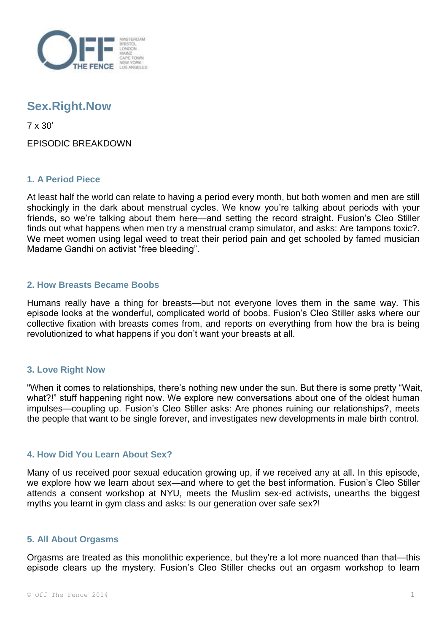

# **Sex.Right.Now**

7 x 30'

EPISODIC BREAKDOWN

## **1. A Period Piece**

At least half the world can relate to having a period every month, but both women and men are still shockingly in the dark about menstrual cycles. We know you're talking about periods with your friends, so we're talking about them here—and setting the record straight. Fusion's Cleo Stiller finds out what happens when men try a menstrual cramp simulator, and asks: Are tampons toxic?. We meet women using legal weed to treat their period pain and get schooled by famed musician Madame Gandhi on activist "free bleeding".

## **2. How Breasts Became Boobs**

Humans really have a thing for breasts—but not everyone loves them in the same way. This episode looks at the wonderful, complicated world of boobs. Fusion's Cleo Stiller asks where our collective fixation with breasts comes from, and reports on everything from how the bra is being revolutionized to what happens if you don't want your breasts at all.

## **3. Love Right Now**

"When it comes to relationships, there's nothing new under the sun. But there is some pretty "Wait, what?!" stuff happening right now. We explore new conversations about one of the oldest human impulses—coupling up. Fusion's Cleo Stiller asks: Are phones ruining our relationships?, meets the people that want to be single forever, and investigates new developments in male birth control.

## **4. How Did You Learn About Sex?**

Many of us received poor sexual education growing up, if we received any at all. In this episode, we explore how we learn about sex—and where to get the best information. Fusion's Cleo Stiller attends a consent workshop at NYU, meets the Muslim sex-ed activists, unearths the biggest myths you learnt in gym class and asks: Is our generation over safe sex?!

## **5. All About Orgasms**

Orgasms are treated as this monolithic experience, but they're a lot more nuanced than that—this episode clears up the mystery. Fusion's Cleo Stiller checks out an orgasm workshop to learn